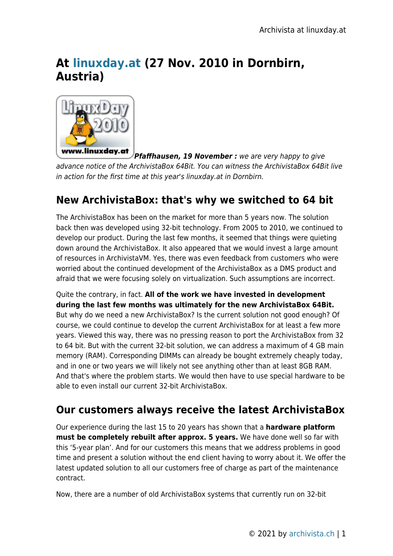# **At [linuxday.at](http://www.linuxday.at/) (27 Nov. 2010 in Dornbirn, Austria)**



*Pfaffhausen, 19 November :* we are very happy to give advance notice of the ArchivistaBox 64Bit. You can witness the ArchivistaBox 64Bit live in action for the first time at this year's linuxday.at in Dornbirn.

## **New ArchivistaBox: that's why we switched to 64 bit**

The ArchivistaBox has been on the market for more than 5 years now. The solution back then was developed using 32-bit technology. From 2005 to 2010, we continued to develop our product. During the last few months, it seemed that things were quieting down around the ArchivistaBox. It also appeared that we would invest a large amount of resources in ArchivistaVM. Yes, there was even feedback from customers who were worried about the continued development of the ArchivistaBox as a DMS product and afraid that we were focusing solely on virtualization. Such assumptions are incorrect.

Quite the contrary, in fact. **All of the work we have invested in development during the last few months was ultimately for the new ArchivistaBox 64Bit.** But why do we need a new ArchivistaBox? Is the current solution not good enough? Of course, we could continue to develop the current ArchivistaBox for at least a few more years. Viewed this way, there was no pressing reason to port the ArchivistaBox from 32 to 64 bit. But with the current 32-bit solution, we can address a maximum of 4 GB main memory (RAM). Corresponding DIMMs can already be bought extremely cheaply today, and in one or two years we will likely not see anything other than at least 8GB RAM. And that's where the problem starts. We would then have to use special hardware to be able to even install our current 32-bit ArchivistaBox.

## **Our customers always receive the latest ArchivistaBox**

Our experience during the last 15 to 20 years has shown that a **hardware platform must be completely rebuilt after approx. 5 years.** We have done well so far with this '5-year plan'. And for our customers this means that we address problems in good time and present a solution without the end client having to worry about it. We offer the latest updated solution to all our customers free of charge as part of the maintenance contract.

Now, there are a number of old ArchivistaBox systems that currently run on 32-bit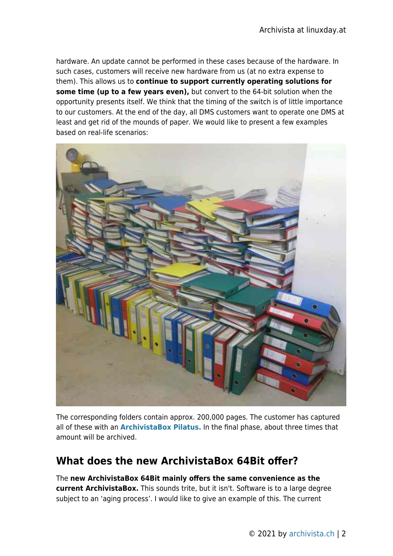hardware. An update cannot be performed in these cases because of the hardware. In such cases, customers will receive new hardware from us (at no extra expense to them). This allows us to **continue to support currently operating solutions for some time (up to a few years even),** but convert to the 64-bit solution when the opportunity presents itself. We think that the timing of the switch is of little importance to our customers. At the end of the day, all DMS customers want to operate one DMS at least and get rid of the mounds of paper. We would like to present a few examples based on real-life scenarios:



The corresponding folders contain approx. 200,000 pages. The customer has captured all of these with an **[ArchivistaBox Pilatus.](http://shop.archivista.ch/oscommerce/catalog/product_info.php?cPath=21&products_id=74)** In the final phase, about three times that amount will be archived.

#### **What does the new ArchivistaBox 64Bit offer?**

The **new ArchivistaBox 64Bit mainly offers the same convenience as the current ArchivistaBox.** This sounds trite, but it isn't. Software is to a large degree subject to an 'aging process'. I would like to give an example of this. The current